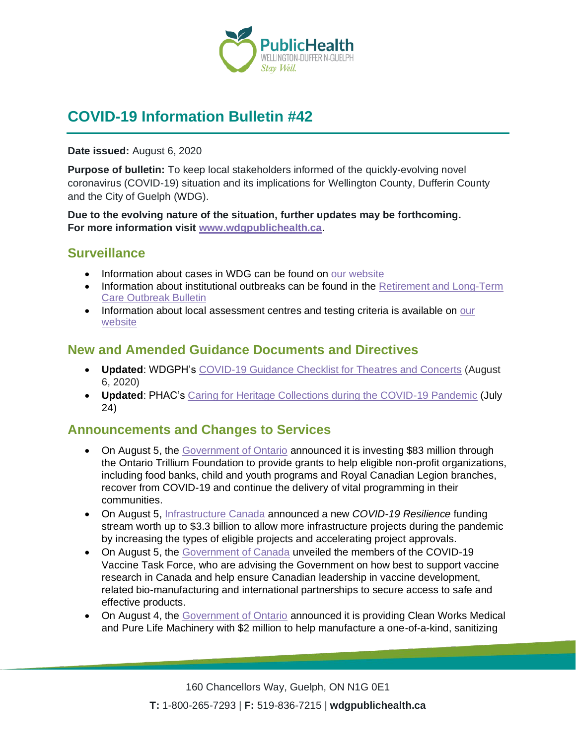

# **COVID-19 Information Bulletin #42**

**Date issued:** August 6, 2020

**Purpose of bulletin:** To keep local stakeholders informed of the quickly-evolving novel coronavirus (COVID-19) situation and its implications for Wellington County, Dufferin County and the City of Guelph (WDG).

**Due to the evolving nature of the situation, further updates may be forthcoming. For more information visit [www.wdgpublichealth.ca](http://www.wdgpublichealth.ca/)**.

### **Surveillance**

- Information about cases in WDG can be found on [our website](https://wdgpublichealth.ca/your-health/covid-19-information-public/status-cases-wdg)
- Information about institutional outbreaks can be found in the Retirement and Long-Term [Care Outbreak Bulletin](https://wdgpublichealth.ca/node/1542)
- Information about local assessment centres and testing criteria is available on our [website](https://www.wdgpublichealth.ca/your-health/covid-19-information-public/assessment-centres-wdg)

### **New and Amended Guidance Documents and Directives**

- **Updated**: WDGPH's COVID-19 [Guidance Checklist for Theatres and Concerts](https://www.wdgpublichealth.ca/sites/default/files/wdgph_covid-19_guidance_checklist_for_theatres_concerts_aug_6_2020.pdf) (August 6, 2020)
- **Updated**: PHAC's [Caring for Heritage Collections during the COVID-19 Pandemic](https://www.canada.ca/en/conservation-institute/services/conservation-preservation-publications/canadian-conservation-institute-notes/caring-heritage-collections-covid19.html) (July 24)

## **Announcements and Changes to Services**

- On August 5, the [Government of Ontario](https://news.ontario.ca/opo/en/2020/08/ontario-supporting-non-profits-as-province-recovers-from-covid-19.html) announced it is investing \$83 million through the Ontario Trillium Foundation to provide grants to help eligible non-profit organizations, including food banks, child and youth programs and Royal Canadian Legion branches, recover from COVID-19 and continue the delivery of vital programming in their communities.
- On August 5, [Infrastructure Canada](https://www.canada.ca/en/office-infrastructure/news/2020/08/infrastructure-program-expands-to-support-covid-19-community-resilience.html) announced a new *COVID-19 Resilience* funding stream worth up to \$3.3 billion to allow more infrastructure projects during the pandemic by increasing the types of eligible projects and accelerating project approvals.
- On August 5, the [Government of Canada](https://www.canada.ca/en/innovation-science-economic-development/news/2020/08/government-of-canada-announces-major-steps-in-treating-and-preventing-covid-19-through-vaccines-and-therapies.html) unveiled the members of the COVID-19 Vaccine Task Force, who are advising the Government on how best to support vaccine research in Canada and help ensure Canadian leadership in vaccine development, related bio-manufacturing and international partnerships to secure access to safe and effective products.
- On August 4, the [Government of Ontario](https://news.ontario.ca/opo/en/2020/08/province-supporting-innovative-made-in-ontario-technology-to-sanitize-ppe.html) announced it is providing Clean Works Medical and Pure Life Machinery with \$2 million to help manufacture a one-of-a-kind, sanitizing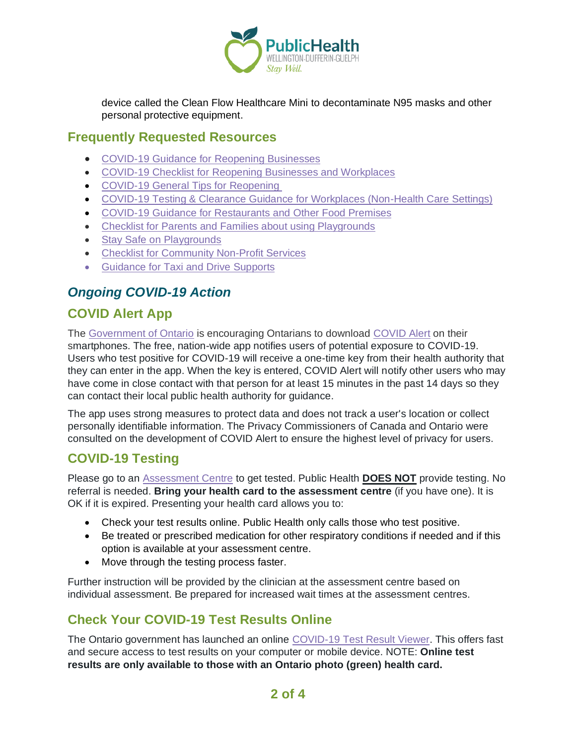

device called the Clean Flow Healthcare Mini to decontaminate N95 masks and other personal protective equipment.

#### **Frequently Requested Resources**

- [COVID-19 Guidance for Reopening Businesses](https://wdgpublichealth.ca/sites/default/files/covid-19_guidance_for_reopening_businesses_july_23_2020.pdf)
- [COVID-19 Checklist for Reopening Businesses](https://wdgpublichealth.ca/sites/default/files/covid-19_checklist_for_reopening_businesses_july_23_2020.pdf) and Workplaces
- [COVID-19 General Tips for](https://wdgpublichealth.ca/sites/default/files/tips_for_reopening_.pdf) Reopening
- COVID-19 Testing & [Clearance Guidance for Workplaces \(Non-Health Care](https://wdgpublichealth.ca/sites/default/files/wdgph_covid-19_guidance_for_testing_workplaces.pdf) Settings)
- [COVID-19 Guidance for Restaurants and](https://wdgpublichealth.ca/sites/default/files/covid-19_guidance_restaurants_and_other_food_premises.pdf) Other Food Premises
- [Checklist for Parents and Families about using Playgrounds](https://www.wdgpublichealth.ca/sites/default/files/wdgph_covid-19_guidance_for_outdoor_playgrounds.pdf)
- [Stay Safe on Playgrounds](https://www.wdgpublichealth.ca/sites/default/files/wdgph_playground_infographic.pdf)
- [Checklist for Community Non-Profit](https://www.wdgpublichealth.ca/sites/default/files/wdgph_covid-19_guidance_checklist_for_community_non-profit_services_july_27_2020.pdf) Services
- [Guidance for Taxi and Drive](https://www.wdgpublichealth.ca/sites/default/files/covid-19_guidance_for_taxi_and_ride_supports.pdf) Supports

## *Ongoing COVID-19 Action*

## **COVID Alert App**

The [Government of Ontario](https://news.ontario.ca/opo/en/2020/07/covid-alert-available-for-download-beginning-today.html) is encouraging Ontarians to download [COVID Alert](https://covid-19.ontario.ca/covidalert?_ga=2.68068817.1702415536.1596548534-1123331746.1579028832) on their smartphones. The free, nation-wide app notifies users of potential exposure to COVID-19. Users who test positive for COVID-19 will receive a one-time key from their health authority that they can enter in the app. When the key is entered, COVID Alert will notify other users who may have come in close contact with that person for at least 15 minutes in the past 14 days so they can contact their local public health authority for guidance.

The app uses strong measures to protect data and does not track a user's location or collect personally identifiable information. The Privacy Commissioners of Canada and Ontario were consulted on the development of COVID Alert to ensure the highest level of privacy for users.

## **COVID-19 Testing**

Please go to an [Assessment Centre](https://wdgpublichealth.ca/your-health/covid-19-information-public/assessment-centres-wdg) to get tested. Public Health **DOES NOT** provide testing. No referral is needed. **Bring your health card to the assessment centre** (if you have one). It is OK if it is expired. Presenting your health card allows you to:

- Check your test results online. Public Health only calls those who test positive.
- Be treated or prescribed medication for other respiratory conditions if needed and if this option is available at your assessment centre.
- Move through the testing process faster.

Further instruction will be provided by the clinician at the assessment centre based on individual assessment. Be prepared for increased wait times at the assessment centres.

## **Check Your COVID-19 Test Results Online**

The Ontario government has launched an online [COVID-19 Test Result Viewer.](https://covid19results.ehealthontario.ca:4443/agree) This offers fast and secure access to test results on your computer or mobile device. NOTE: **Online test results are only available to those with an Ontario photo (green) health card.**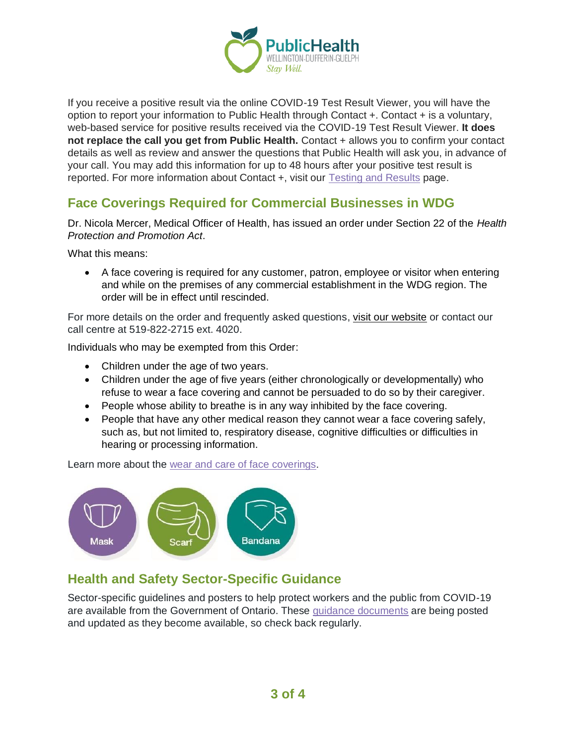

If you receive a positive result via the online COVID-19 Test Result Viewer, you will have the option to report your information to Public Health through Contact +. Contact + is a voluntary, web-based service for positive results received via the COVID-19 Test Result Viewer. **It does not replace the call you get from Public Health.** Contact + allows you to confirm your contact details as well as review and answer the questions that Public Health will ask you, in advance of your call. You may add this information for up to 48 hours after your positive test result is reported. For more information about Contact +, visit our [Testing and Results](https://www.wdgpublichealth.ca/your-health/covid-19-information-public/testing-and-results) page.

### **Face Coverings Required for Commercial Businesses in WDG**

Dr. Nicola Mercer, Medical Officer of Health, has issued an order under Section 22 of the *Health Protection and Promotion Act*.

What this means:

• A face covering is required for any customer, patron, employee or visitor when entering and while on the premises of any commercial establishment in the WDG region. The order will be in effect until rescinded.

For more details on the order and frequently asked questions, [visit our website](https://www.wdgpublichealth.ca/your-health/covid-19-information-public/face-coverings-class-order-and-faqs) or contact our call centre at 519-822-2715 ext. 4020.

Individuals who may be exempted from this Order:

- Children under the age of two years.
- Children under the age of five years (either chronologically or developmentally) who refuse to wear a face covering and cannot be persuaded to do so by their caregiver.
- People whose ability to breathe is in any way inhibited by the face covering.
- People that have any other medical reason they cannot wear a face covering safely, such as, but not limited to, respiratory disease, cognitive difficulties or difficulties in hearing or processing information.

Learn more about the [wear and care of face coverings.](https://www.wdgpublichealth.ca/your-health/covid-19-information-public/face-coverings-class-order-and-faqs/wear-and-care-face)



### **Health and Safety Sector-Specific Guidance**

Sector-specific guidelines and posters to help protect workers and the public from COVID-19 are available from the Government of Ontario. These [guidance documents](https://www.ontario.ca/page/resources-prevent-covid-19-workplace) are being posted and updated as they become available, so check back regularly.